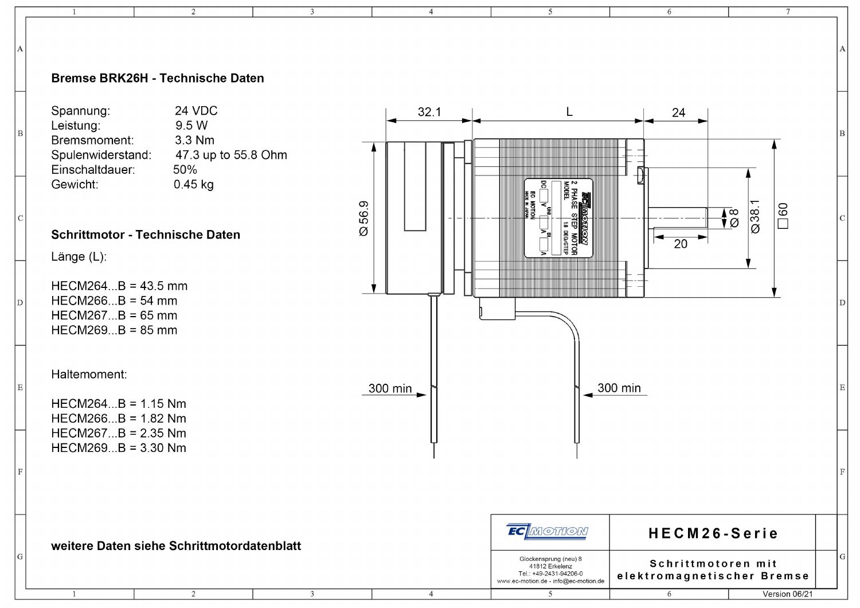### Bremse BRK26H - Technische Daten

 $\overline{\phantom{a}}$ 

 $\overline{z}$ 

 $\overline{3}$ 

 $\overline{A}$ 

 $\overline{4}$ 

Spannung: **24 VDC** 9.5 W Leistung: Bremsmoment: 3.3 Nm Spulenwiderstand: 47.3 up to 55.8 Ohm Einschaltdauer: 50% Gewicht:  $0.45$  kg

#### **Schrittmotor - Technische Daten**

Länge (L):

 $\overline{B}$ 

 $\Gamma$ 

 $\overline{D}$ 

 $\overline{E}$ 

G

 $HECM264...B = 43.5$  mm  $HECM266...B = 54$  mm  $HECM267...B = 65$  mm  $HECM269...B = 85$  mm

Haltemoment:

 $\overline{1}$ 

 $HECM264...B = 1.15 Nm$  $HECM266...B = 1.82 Nm$  $HECM267...B = 2.35 Nm$  $HECM269...B = 3.30 Nm$ 



 $\overline{5}$ 

 $\overline{6}$ 

6

 $\overline{7}$ 

Version 06/21

weitere Daten siehe Schrittmotordatenblatt

 $\overline{2}$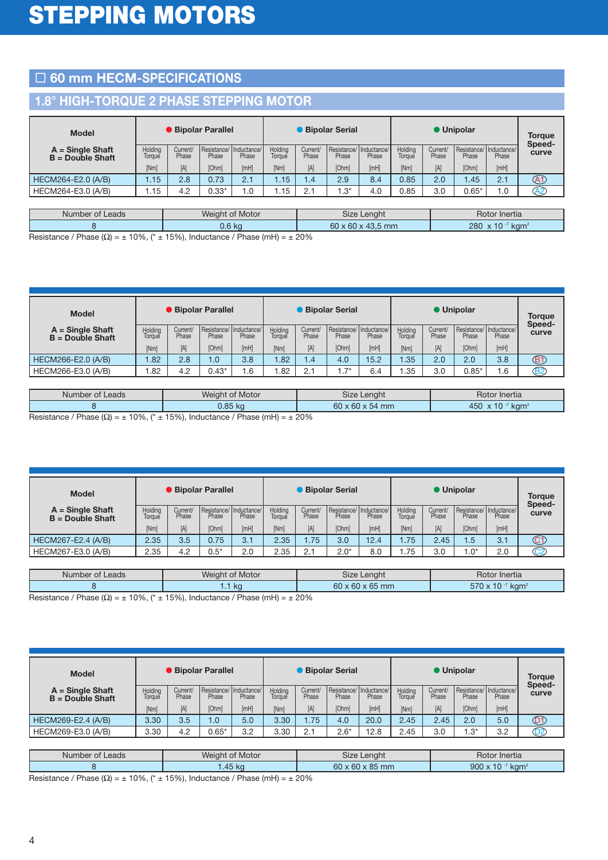# □ 60 mm HECM-SPECIFICATIONS

### **1.8° HIGH-TORQUE 2 PHASE STEPPING MOTOR**

| <b>Model</b>                             | <b>Bipolar Parallel</b> |                   |                                 |       | <b>Bipolar Serial</b> |                   |                                 |       | <b>Unipolar</b>   |                   |             |                                 |                 |
|------------------------------------------|-------------------------|-------------------|---------------------------------|-------|-----------------------|-------------------|---------------------------------|-------|-------------------|-------------------|-------------|---------------------------------|-----------------|
| $A =$ Single Shaft<br>$B =$ Double Shaft | Holding<br>Torque       | Current/<br>Phase | Resistance/Inductance/<br>Phase | Phase | Holding<br>Toraue     | Current/<br>Phase | Resistance/Inductance/<br>Phase | Phase | Holding<br>Toraue | Current/<br>Phase | Phase       | Resistance/Inductance/<br>Phase | Speed-<br>curve |
|                                          | [Nm]                    | [A]               | [Ohm]                           | [mH]  | [Nm]                  | [A]               | <b>[Ohm]</b>                    | [mH]  | [Nm]              | [A]               | <b>Ohml</b> | [mH]                            |                 |
| HECM264-E2.0 (A/B)                       | 1.15                    | 2.8               | 0.73                            | 2.1   | .15 <sub>1</sub>      | $\overline{1.4}$  | 2.9                             | 8.4   | 0.85              | 2.0               | .45         | 2.1                             | $\Delta$ 1      |
| HECM264-E3.0 (A/B)                       | .15                     | 4.2               | $0.33*$                         | 0.1   | . . 15                |                   | . .3*                           | 4.0   | 0.85              | 3.0               | $0.65*$     | 0. ا                            | A2              |

|      | Number of Leads          |        |                                                                                                                                                                                                                                                                                                                                                                                                                                                                                                                  | <b>Weight of Motor</b>   |          |                               | Size Lenght                   | Rotor Inertia                                 |
|------|--------------------------|--------|------------------------------------------------------------------------------------------------------------------------------------------------------------------------------------------------------------------------------------------------------------------------------------------------------------------------------------------------------------------------------------------------------------------------------------------------------------------------------------------------------------------|--------------------------|----------|-------------------------------|-------------------------------|-----------------------------------------------|
|      |                          |        |                                                                                                                                                                                                                                                                                                                                                                                                                                                                                                                  | 0.6 kg                   |          |                               | $60 \times 60 \times 43.5$ mm | $J \times 10^{-7}$<br>280<br>kam <sup>2</sup> |
| $ -$ | $\overline{\phantom{a}}$ | $\sim$ | $\mathbf{1} \times \mathbf{1} \times \mathbf{1} \times \mathbf{1} \times \mathbf{1} \times \mathbf{1} \times \mathbf{1} \times \mathbf{1} \times \mathbf{1} \times \mathbf{1} \times \mathbf{1} \times \mathbf{1} \times \mathbf{1} \times \mathbf{1} \times \mathbf{1} \times \mathbf{1} \times \mathbf{1} \times \mathbf{1} \times \mathbf{1} \times \mathbf{1} \times \mathbf{1} \times \mathbf{1} \times \mathbf{1} \times \mathbf{1} \times \mathbf{1} \times \mathbf{1} \times \mathbf{1} \times \mathbf{$ | $\overline{\phantom{a}}$ | $\cdots$ | $\sim$ $\sim$ $\sim$ $\prime$ |                               |                                               |

Resistance / Phase ( $\Omega$ ) =  $\pm$  10%, ( $*$  ± 15%), Inductance / Phase (mH) =  $\pm$  20%

| <b>Model</b>                             | <b>Bipolar Parallel</b> |                   |         |                                  | <b>Bipolar Serial</b> |                   |        |                                  | <b>Unipolar</b>   |                   |                                 |       | <b>Torque</b><br>Speed- |
|------------------------------------------|-------------------------|-------------------|---------|----------------------------------|-----------------------|-------------------|--------|----------------------------------|-------------------|-------------------|---------------------------------|-------|-------------------------|
| $A =$ Single Shaft<br>$B = Double Shaft$ | Holding<br>lorque       | Current/<br>Phase | Phase   | Resistance/Inductance/I<br>Phase | Holding<br>Toraue     | Current/<br>Phase | Phase  | Resistance/Inductance/I<br>Phase | Holdina<br>Toraue | Current/<br>Phase | Resistance/Inductance/<br>Phase | Phase | curve                   |
|                                          | [Nm]                    | $[{\mathsf A}]$   | [Ohm]   | [mH]                             | [Nm]                  | [A]               | [Ohm]  | [mH]                             | [Nm]              | [A]               | [Ohm]                           | [mH]  |                         |
| HECM266-E2.0 (A/B)                       | .82                     | 2.8               | 0.1     | 3.8                              | .82                   | $\overline{1.4}$  | 4.0    | 15.2                             | .35               | 2.0               | 2.0                             | 3.8   | Œ                       |
| HECM266-E3.0 (A/B)                       | .82                     | 4.2               | $0.43*$ | .6                               | .82                   | 2.1               | $.7^*$ | 6.4                              | .35               | 3.0               | $0.85*$                         | 6.،   | B2                      |

| Number of Leads                                                                       | <b>Weight of Motor</b>                                                                                                                                                                                                                                                                                                                                                                                              | Size Lenght                 | Rotor Inertia                  |
|---------------------------------------------------------------------------------------|---------------------------------------------------------------------------------------------------------------------------------------------------------------------------------------------------------------------------------------------------------------------------------------------------------------------------------------------------------------------------------------------------------------------|-----------------------------|--------------------------------|
|                                                                                       | 0.85 kg                                                                                                                                                                                                                                                                                                                                                                                                             | $60 \times 60 \times 54$ mm | 450<br><b>kam</b><br>$\lambda$ |
| $\lambda$ 0.0 $\lambda$<br>$\Box$ $\Box$ $\Box$ $\Box$ $\Box$ $\Box$<br>$\rightarrow$ | $\overline{1}$ $\overline{2}$ $\overline{2}$ $\overline{1}$ $\overline{1}$ $\overline{1}$ $\overline{1}$ $\overline{1}$ $\overline{1}$ $\overline{1}$ $\overline{1}$ $\overline{1}$ $\overline{1}$ $\overline{1}$ $\overline{1}$ $\overline{1}$ $\overline{1}$ $\overline{1}$ $\overline{1}$ $\overline{1}$ $\overline{1}$ $\overline{1}$ $\overline{1}$ $\overline{1}$ $\overline{$<br>$\sim$ $\sim$ $\sim$ $\sim$ | $\sim$ $\sim$ $\sim$        |                                |

Resistance / Phase ( $\Omega$ ) =  $\pm$  10%, (\*  $\pm$  15%), Inductance / Phase (mH) =  $\pm$  20%

| <b>Model</b>                             |                          |                   | <b>Bipolar Parallel</b> |                                 | <b>Bipolar Serial</b> |                   |                                 |       |                   | <b>Torque</b><br>Speed- |              |                                 |                       |
|------------------------------------------|--------------------------|-------------------|-------------------------|---------------------------------|-----------------------|-------------------|---------------------------------|-------|-------------------|-------------------------|--------------|---------------------------------|-----------------------|
| $A =$ Single Shaft<br>$B =$ Double Shaft | Holding<br><b>Torque</b> | Current/<br>Phase | Phase                   | Resistance/Inductance/<br>Phase | Holding<br>Toraue     | Current/<br>Phase | Resistance/Inductance/<br>Phase | Phase | Holding<br>Toraue | Current/<br>Phase       | Phase        | Resistance/Inductance/<br>Phase | curve                 |
|                                          | [Nm]                     | $[{\mathsf A}]$   | [Ohm]                   | [mH]                            | [Nm]                  | [A]               | [Ohm]                           | [mH]  | [Nm]              | [A]                     | <b>[Ohm]</b> | [mH]                            |                       |
| HECM267-E2.4 (A/B)                       | 2.35                     | 3.5               | 0.75                    | 3.1                             | 2.35                  | 1.75              | 3.0                             | 12.4  | .75               | 2.45                    | .5           | 3.1                             | C1                    |
| HECM267-E3.0 (A/B)                       | 2.35                     | 4.2               | $0.5*$                  | 2.0                             | 2.35                  | 2.1               | $2.0*$                          | 8.0   | .75،              | 3.0                     | $.0^*$       | 2.0                             | $\widehat{\text{C2}}$ |

| Number of Leads                                                    | <b>Weight of Motor</b> | Size Lenaht                 | Rotor Inertia   |  |  |  |  |  |
|--------------------------------------------------------------------|------------------------|-----------------------------|-----------------|--|--|--|--|--|
|                                                                    | <b>KQ</b>              | $60 \times 60 \times 65$ mm | 570 x 10<br>kam |  |  |  |  |  |
| $Dcoitanoo/Dhono(0) = +100(1 + 150) Industano(Dhono(mH) = +200(1)$ |                        |                             |                 |  |  |  |  |  |

Resistance / Phase ( $\Omega$ ) =  $\pm$  10%, (\*  $\pm$  15%), Inductance / Phase (mH) =  $\pm$  20%

| <b>Model</b>                             |                          |                   | <b>Bipolar Parallel</b> |                        | <b>Bipolar Serial</b> |                   |                                 |       |                   | <b>Torque</b><br>Speed- |              |                                 |       |
|------------------------------------------|--------------------------|-------------------|-------------------------|------------------------|-----------------------|-------------------|---------------------------------|-------|-------------------|-------------------------|--------------|---------------------------------|-------|
| $A =$ Single Shaft<br>$B = Double Shaft$ | Holding<br><b>Forque</b> | Current/<br>Phase | Resistance/<br>Phase    | /lnductance/l<br>Phase | Holding<br>Toraue     | Current/<br>Phase | Resistance/Inductance/<br>Phase | Phase | Holding<br>Toraue | Current/<br>Phase       | Phase        | Resistance/Inductance/<br>Phase | curve |
|                                          | [Nm]                     | [A]               | [Ohm]                   | [mH]                   | [Nm]                  | [A]               | [Ohm]                           | [TH]  | [Nm]              | [A]                     | <b>[Ohm]</b> | [mH]                            |       |
| HECM269-E2.4 (A/B)                       | 3.30                     | 3.5               | 0.1                     | 5.0                    | 3.30                  | .75               | 4.0                             | 20.0  | 2.45              | 2.45                    | 2.0          | 5.0                             | O1    |
| HECM269-E3.0 (A/B)                       | 3.30                     | 4.2               | $0.65*$                 | 3.2                    | 3.30                  | 2.1               | $2.6*$                          | 12.8  | 2.45              | 3.0                     | . .3*        | 3.2                             | D2    |

| Number of Leads | <b>Weight of Motor</b> | Size Lenght                 | Rotor Inertia      |
|-----------------|------------------------|-----------------------------|--------------------|
|                 | $.45$ kg               | $60 \times 60 \times 85$ mm | 900x<br>.10<br>kam |

Resistance / Phase ( $\Omega$ ) =  $\pm$  10%, ( $*$   $\pm$  15%), Inductance / Phase (mH) =  $\pm$  20%